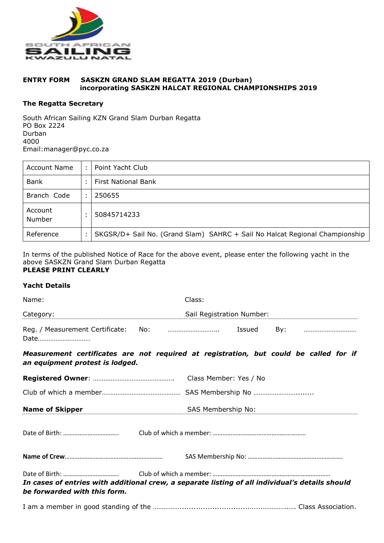

## **ENTRY FORM SASKZN GRAND SLAM REGATTA 2019 (Durban) incorporating SASKZN HALCAT REGIONAL CHAMPIONSHIPS 2019**

## **The Regatta Secretary**

South African Sailing KZN Grand Slam Durban Regatta PO Box 2224 Durban 4000 Email:manager@pyc.co.za

| Account Name      | Point Yacht Club                                                            |
|-------------------|-----------------------------------------------------------------------------|
| Bank              | First National Bank                                                         |
| Branch Code       | 250655                                                                      |
| Account<br>Number | 50845714233                                                                 |
| Reference         | SKGSR/D+ Sail No. (Grand Slam) SAHRC + Sail No Halcat Regional Championship |

In terms of the published Notice of Race for the above event, please enter the following yacht in the above SASKZN Grand Slam Durban Regatta **PLEASE PRINT CLEARLY**

## **Yacht Details**

| Name:                                       | Class:                    |        |     |  |
|---------------------------------------------|---------------------------|--------|-----|--|
| Category:                                   | Sail Registration Number: |        |     |  |
| Reg. / Measurement Certificate: No:<br>Date |                           | Issued | Bv: |  |

*Measurement certificates are not required at registration, but could be called for if an equipment protest is lodged.* 

|                              | Class Member: Yes / No                                                                          |
|------------------------------|-------------------------------------------------------------------------------------------------|
|                              |                                                                                                 |
| <b>Name of Skipper</b>       | SAS Membership No:                                                                              |
|                              |                                                                                                 |
|                              |                                                                                                 |
| be forwarded with this form. | In cases of entries with additional crew, a separate listing of all individual's details should |
|                              |                                                                                                 |